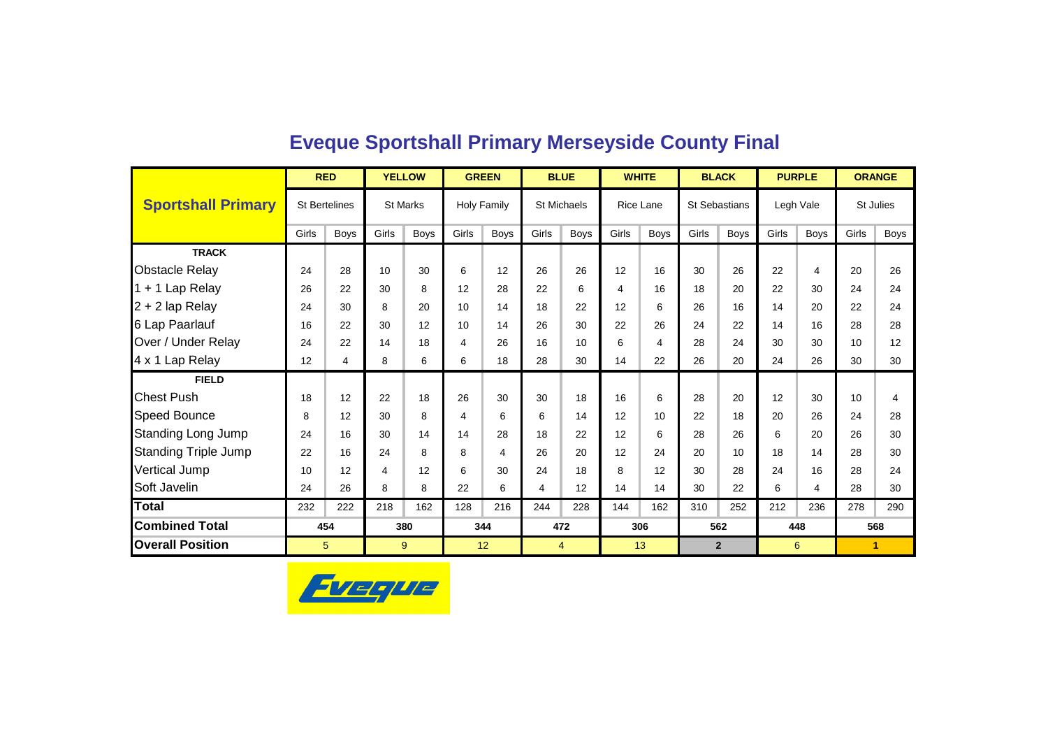|                             |       | <b>RED</b>           |       | <b>YELLOW</b>   |       | <b>GREEN</b>       |       | <b>BLUE</b>        | <b>WHITE</b>            |             |       | <b>BLACK</b>         |       | <b>PURPLE</b> |       | <b>ORANGE</b> |
|-----------------------------|-------|----------------------|-------|-----------------|-------|--------------------|-------|--------------------|-------------------------|-------------|-------|----------------------|-------|---------------|-------|---------------|
| <b>Sportshall Primary</b>   |       | <b>St Bertelines</b> |       | <b>St Marks</b> |       | <b>Holy Family</b> |       | <b>St Michaels</b> |                         | Rice Lane   |       | <b>St Sebastians</b> |       | Legh Vale     |       | St Julies     |
|                             | Girls | <b>Boys</b>          | Girls | <b>Boys</b>     | Girls | <b>Boys</b>        | Girls | <b>Boys</b>        | Girls                   | <b>Boys</b> | Girls | Boys                 | Girls | <b>Boys</b>   | Girls | <b>Boys</b>   |
| <b>TRACK</b>                |       |                      |       |                 |       |                    |       |                    |                         |             |       |                      |       |               |       |               |
| <b>Obstacle Relay</b>       | 24    | 28                   | 10    | 30              | 6     | 12                 | 26    | 26                 | 12                      | 16          | 30    | 26                   | 22    | 4             | 20    | 26            |
| 1 + 1 Lap Relay             | 26    | 22                   | 30    | 8               | 12    | 28                 | 22    | 6                  | $\overline{\mathbf{4}}$ | 16          | 18    | 20                   | 22    | 30            | 24    | 24            |
| $2 + 2$ lap Relay           | 24    | 30                   | 8     | 20              | 10    | 14                 | 18    | 22                 | 12                      | 6           | 26    | 16                   | 14    | 20            | 22    | 24            |
| 6 Lap Paarlauf              | 16    | 22                   | 30    | 12              | 10    | 14                 | 26    | 30                 | 22                      | 26          | 24    | 22                   | 14    | 16            | 28    | 28            |
| Over / Under Relay          | 24    | 22                   | 14    | 18              | 4     | 26                 | 16    | 10                 | 6                       | 4           | 28    | 24                   | 30    | 30            | 10    | 12            |
| 4 x 1 Lap Relay             | 12    | 4                    | 8     | 6               | 6     | 18                 | 28    | 30                 | 14                      | 22          | 26    | 20                   | 24    | 26            | 30    | 30            |
| <b>FIELD</b>                |       |                      |       |                 |       |                    |       |                    |                         |             |       |                      |       |               |       |               |
| <b>Chest Push</b>           | 18    | 12                   | 22    | 18              | 26    | 30                 | 30    | 18                 | 16                      | 6           | 28    | 20                   | 12    | 30            | 10    | 4             |
| <b>Speed Bounce</b>         | 8     | 12                   | 30    | 8               | 4     | 6                  | 6     | 14                 | 12                      | 10          | 22    | 18                   | 20    | 26            | 24    | 28            |
| <b>Standing Long Jump</b>   | 24    | 16                   | 30    | 14              | 14    | 28                 | 18    | 22                 | 12                      | 6           | 28    | 26                   | 6     | 20            | 26    | 30            |
| <b>Standing Triple Jump</b> | 22    | 16                   | 24    | 8               | 8     | 4                  | 26    | 20                 | 12                      | 24          | 20    | 10                   | 18    | 14            | 28    | 30            |
| Vertical Jump               | 10    | 12                   | 4     | 12              | 6     | 30                 | 24    | 18                 | 8                       | 12          | 30    | 28                   | 24    | 16            | 28    | 24            |
| Soft Javelin                | 24    | 26                   | 8     | 8               | 22    | 6                  | 4     | 12                 | 14                      | 14          | 30    | 22                   | 6     | 4             | 28    | 30            |
| <b>Total</b>                | 232   | 222                  | 218   | 162             | 128   | 216                | 244   | 228                | 144                     | 162         | 310   | 252                  | 212   | 236           | 278   | 290           |
| <b>Combined Total</b>       |       | 454                  |       | 380             |       | 344                |       | 472                |                         | 306         |       | 562                  |       | 448           |       | 568           |
| <b>Overall Position</b>     |       | 5                    |       | 9               |       | 12                 |       | 4                  |                         | 13          |       | $\mathbf{2}$         |       | 6             |       | 1.            |

### **Eveque Sportshall Primary Merseyside County Final**

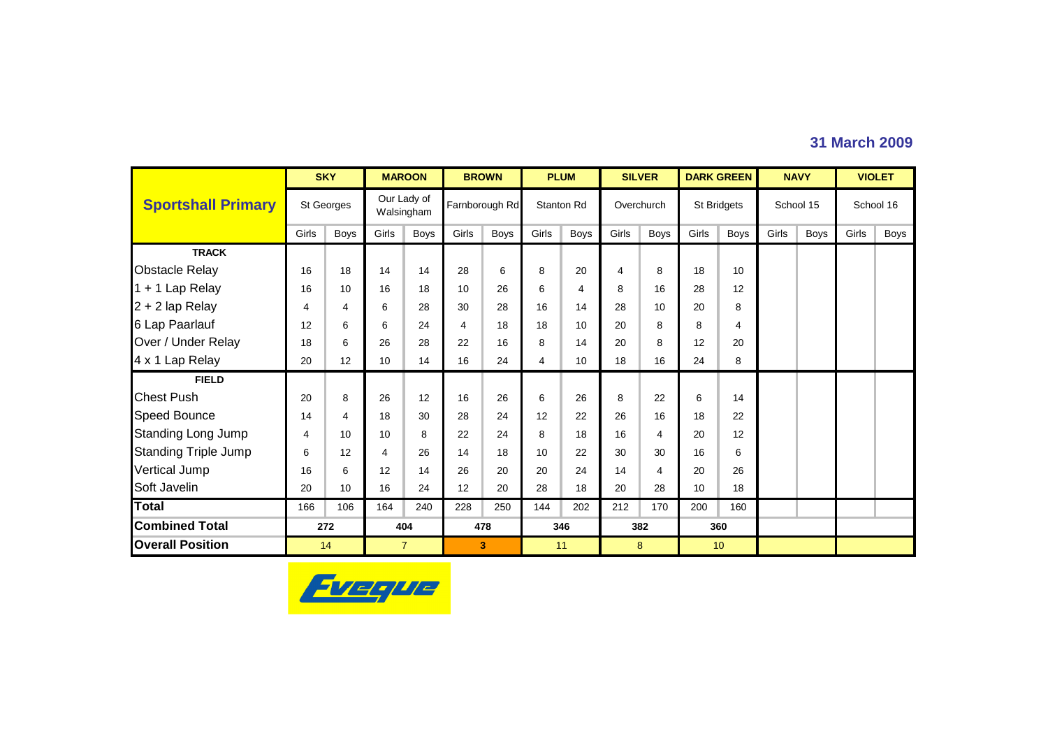### **31 March 2009**

|                             |       | <b>SKY</b>  |       | <b>MAROON</b>             |       | <b>BROWN</b>   |       | <b>PLUM</b>       | <b>SILVER</b> |      |       | <b>DARK GREEN</b> |       | <b>NAVY</b> |       | <b>VIOLET</b> |
|-----------------------------|-------|-------------|-------|---------------------------|-------|----------------|-------|-------------------|---------------|------|-------|-------------------|-------|-------------|-------|---------------|
| <b>Sportshall Primary</b>   |       | St Georges  |       | Our Lady of<br>Walsingham |       | Farnborough Rd |       | <b>Stanton Rd</b> | Overchurch    |      |       | St Bridgets       |       | School 15   |       | School 16     |
|                             | Girls | <b>Boys</b> | Girls | Boys                      | Girls | <b>Boys</b>    | Girls | <b>Boys</b>       | Girls         | Boys | Girls | <b>Boys</b>       | Girls | <b>Boys</b> | Girls | Boys          |
| <b>TRACK</b>                |       |             |       |                           |       |                |       |                   |               |      |       |                   |       |             |       |               |
| <b>Obstacle Relay</b>       | 16    | 18          | 14    | 14                        | 28    | 6              | 8     | 20                | 4             | 8    | 18    | 10                |       |             |       |               |
| 1 + 1 Lap Relay             | 16    | 10          | 16    | 18                        | 10    | 26             | 6     | 4                 | 8             | 16   | 28    | 12                |       |             |       |               |
| 2 + 2 lap Relay             | 4     | 4           | 6     | 28                        | 30    | 28             | 16    | 14                | 28            | 10   | 20    | 8                 |       |             |       |               |
| 6 Lap Paarlauf              | 12    | 6           | 6     | 24                        | 4     | 18             | 18    | 10                | 20            | 8    | 8     | 4                 |       |             |       |               |
| Over / Under Relay          | 18    | 6           | 26    | 28                        | 22    | 16             | 8     | 14                | 20            | 8    | 12    | 20                |       |             |       |               |
| 4 x 1 Lap Relay             | 20    | 12          | 10    | 14                        | 16    | 24             | 4     | 10 <sup>1</sup>   | 18            | 16   | 24    | 8                 |       |             |       |               |
| <b>FIELD</b>                |       |             |       |                           |       |                |       |                   |               |      |       |                   |       |             |       |               |
| <b>Chest Push</b>           | 20    | 8           | 26    | 12                        | 16    | 26             | 6     | 26                | 8             | 22   | 6     | 14                |       |             |       |               |
| Speed Bounce                | 14    | 4           | 18    | 30                        | 28    | 24             | 12    | 22                | 26            | 16   | 18    | 22                |       |             |       |               |
| <b>Standing Long Jump</b>   | 4     | 10          | 10    | 8                         | 22    | 24             | 8     | 18                | 16            | 4    | 20    | 12                |       |             |       |               |
| <b>Standing Triple Jump</b> | 6     | 12          | 4     | 26                        | 14    | 18             | 10    | 22                | 30            | 30   | 16    | 6                 |       |             |       |               |
| <b>Vertical Jump</b>        | 16    | 6           | 12    | 14                        | 26    | 20             | 20    | 24                | 14            | 4    | 20    | 26                |       |             |       |               |
| Soft Javelin                | 20    | 10          | 16    | 24                        | 12    | 20             | 28    | 18                | 20            | 28   | 10    | 18                |       |             |       |               |
| Total                       | 166   | 106         | 164   | 240                       | 228   | 250            | 144   | 202               | 212           | 170  | 200   | 160               |       |             |       |               |
| <b>Combined Total</b>       |       | 272         |       | 404                       | 478   |                |       | 346               | 382           |      |       | 360               |       |             |       |               |
| <b>Overall Position</b>     |       | 14          |       | $\overline{7}$            |       | 3              |       | 11                | 8             |      |       | 10                |       |             |       |               |

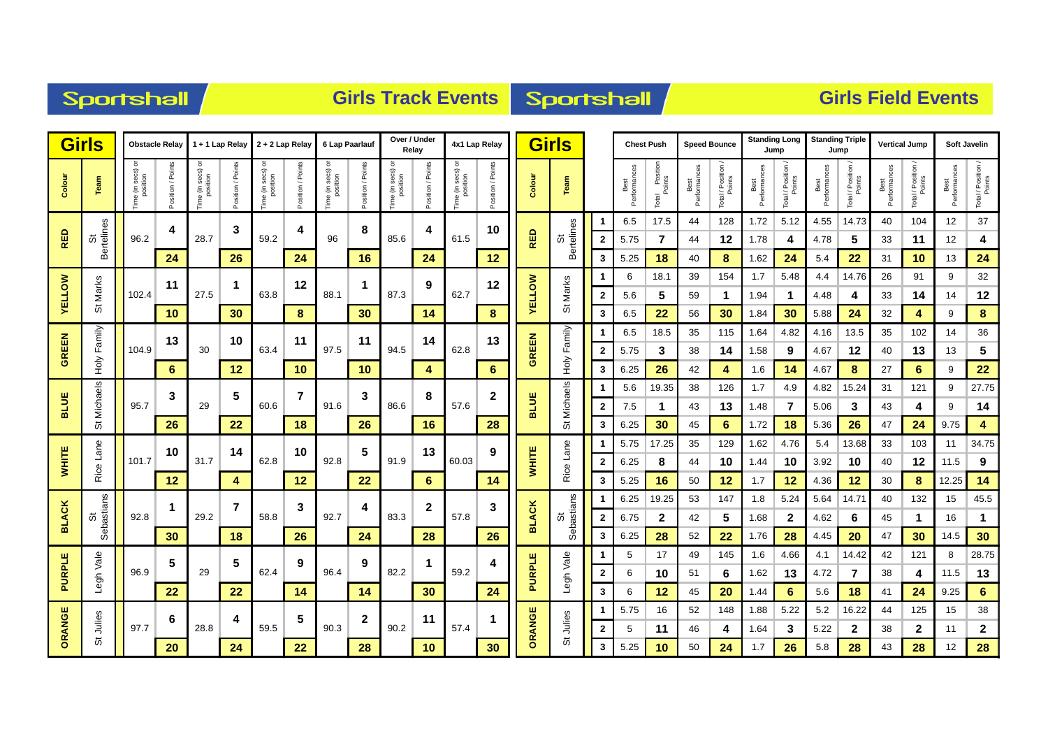| <b>Sportshall</b> |
|-------------------|
|-------------------|

### **Girls Track Events Sportshall**

|               | <b>Girls</b>     |                           | <b>Obstacle Relay</b> |               | 1 + 1 Lap Relay               |                                        | 2 + 2 Lap Relay  |                               | 6 Lap Paarlauf    |                          | Over / Under<br>Relav |                               | 4x1 Lap Relay     |               | <b>Girls</b>     |                         | <b>Chest Push</b>    |                               |                      | <b>Speed Bounce</b> | <b>Standing Long</b> | Jump             | <b>Standing Triple</b> | Jump                         | <b>Vertical Jump</b> |                              |                      | Soft Javelin                 |
|---------------|------------------|---------------------------|-----------------------|---------------|-------------------------------|----------------------------------------|------------------|-------------------------------|-------------------|--------------------------|-----------------------|-------------------------------|-------------------|---------------|------------------|-------------------------|----------------------|-------------------------------|----------------------|---------------------|----------------------|------------------|------------------------|------------------------------|----------------------|------------------------------|----------------------|------------------------------|
| Colour        | Team             | ime (in secs)<br>position | Points<br>sition /    | ime (in secs) | Points<br>osition<br>$\Omega$ | secs)<br>e (in secs<br>position<br>em. | Points<br>sition | Time (in secs) or<br>position | Points<br>osition | ne (in secs)<br>position | osition / Points      | Time (in secs) or<br>position | Position / Points | Colour        | Team             |                         | Best<br>Performances | l Position<br>Points<br>Total | Best<br>Performances | Total / Position    | Performances<br>Best | Total / Position | Performance<br>Best    | Total / Position /<br>Points | Performances<br>Best | Total / Position /<br>Points | Performances<br>Best | Total / Position /<br>Points |
|               |                  |                           | 4                     |               | 3                             |                                        | 4                |                               | 8                 |                          | 4                     |                               | 10                |               |                  |                         | 6.5                  | 17.5                          | 44                   | 128                 | 1.72                 | 5.12             | 4.55                   | 14.73                        | 40                   | 104                          | 12                   | 37                           |
| RED           | St<br>Bertelines | 96.2                      |                       | 28.7          |                               | 59.2                                   |                  | 96                            |                   | 85.6                     |                       | 61.5                          |                   | <b>RED</b>    | St<br>Bertelines | $\overline{\mathbf{2}}$ | 5.75                 | $\overline{7}$                | 44                   | 12                  | 1.78                 | 4                | 4.78                   | 5                            | 33                   | 11                           | 12                   | 4                            |
|               |                  |                           | 24                    |               | 26                            |                                        | 24               |                               | 16                |                          | 24                    |                               | 12                |               |                  | 3                       | 5.25                 | 18                            | 40                   | 8                   | 1.62                 | 24               | 5.4                    | 22                           | 31                   | 10                           | 13                   | 24                           |
|               |                  |                           | 11                    |               | -1                            |                                        | 12               |                               | 1                 |                          | 9                     |                               | 12                |               |                  |                         | 6                    | 18.1                          | 39                   | 154                 | 1.7                  | 5.48             | 4.4                    | 14.76                        | 26                   | 91                           | 9                    | 32                           |
| <b>YELLOW</b> | Marks            | 102.4                     |                       | 27.5          |                               | 63.8                                   |                  | 88.1                          |                   | 87.3                     |                       | 62.7                          |                   | <b>YELLOW</b> | Marks            | $\mathbf{2}$            | 5.6                  | 5                             | 59                   | $\mathbf 1$         | 1.94                 | $\mathbf 1$      | 4.48                   | 4                            | 33                   | 14                           | 14                   | 12                           |
|               | 5                |                           | 10                    |               | 30                            |                                        | 8                |                               | 30                |                          | 14                    |                               | 8                 |               | 5                | 3                       | 6.5                  | 22                            | 56                   | 30                  | 1.84                 | 30               | 5.88                   | 24                           | 32                   | 4                            | 9                    | $\bf{8}$                     |
|               | Family           |                           | 13                    |               | 10                            |                                        | 11               |                               | 11                |                          | 14                    |                               | 13                |               | Family           |                         | 6.5                  | 18.5                          | 35                   | 115                 | 1.64                 | 4.82             | 4.16                   | 13.5                         | 35                   | 102                          | 14                   | 36                           |
| <b>GREEN</b>  |                  | 104.9                     |                       | 30            |                               | 63.4                                   |                  | 97.5                          |                   | 94.5                     |                       | 62.8                          |                   | <b>GREEN</b>  |                  | $\overline{2}$          | 5.75                 | 3                             | 38                   | 14                  | 1.58                 | 9                | 4.67                   | 12                           | 40                   | 13                           | 13                   | 5                            |
|               | ₹е               |                           | 6                     |               | 12                            |                                        | 10               |                               | 10                |                          | 4                     |                               | 6                 |               | Нoly             | 3                       | 6.25                 | 26                            | 42                   | 4                   | 1.6                  | 14               | 4.67                   | 8                            | 27                   | $6\phantom{1}6$              | 9                    | 22                           |
|               | Michaels         |                           | 3                     |               | 5                             |                                        | 7                |                               | 3                 |                          | 8                     |                               | $\mathbf{2}$      |               | Michaels         |                         | 5.6                  | 19.35                         | 38                   | 126                 | 1.7                  | 4.9              | 4.82                   | 15.24                        | 31                   | 121                          | 9                    | 27.75                        |
| <b>BLUE</b>   |                  | 95.7                      |                       | 29            |                               | 60.6                                   |                  | 91.6                          |                   | 86.6                     |                       | 57.6                          |                   | <b>BLUE</b>   |                  | $\mathbf{2}$            | 7.5                  | $\mathbf 1$                   | 43                   | 13                  | 1.48                 | 7                | 5.06                   | 3                            | 43                   | 4                            | 9                    | 14                           |
|               | ö                |                           | 26                    |               | 22                            |                                        | 18               |                               | 26                |                          | 16                    |                               | 28                |               | ö                | 3                       | 6.25                 | 30                            | 45                   | 6                   | 1.72                 | 18               | 5.36                   | 26                           | 47                   | 24                           | 9.75                 | 4                            |
|               |                  |                           | 10                    |               | 14                            |                                        | 10               |                               | 5                 |                          | 13                    |                               | 9                 |               | Lane             |                         | 5.75                 | 17.25                         | 35                   | 129                 | 1.62                 | 4.76             | 5.4                    | 13.68                        | 33                   | 103                          | 11                   | 34.75                        |
| <b>WHITE</b>  | Rice Lane        | 101.7                     |                       | 31.7          |                               | 62.8                                   |                  | 92.8                          |                   | 91.9                     |                       | 60.03                         |                   | <b>WHITE</b>  | Rice             | $\mathbf{2}$            | 6.25                 | 8                             | 44                   | 10                  | 1.44                 | 10               | 3.92                   | 10                           | 40                   | 12                           | 11.5                 | 9                            |
|               |                  |                           | 12                    |               | 4                             |                                        | 12               |                               | 22                |                          | 6                     |                               | 14                |               |                  | 3                       | 5.25                 | 16                            | 50                   | 12                  | 1.7                  | 12               | 4.36                   | 12                           | 30                   | 8                            | 12.25                | 14                           |
|               |                  |                           | 1                     |               | 7                             |                                        | 3                |                               | 4                 |                          | 2                     |                               | 3                 |               |                  |                         | 6.25                 | 19.25                         | 53                   | 147                 | 1.8                  | 5.24             | 5.64                   | 14.71                        | 40                   | 132                          | 15                   | 45.5                         |
| <b>BLACK</b>  | Sebastians<br>55 | 92.8                      |                       | 29.2          |                               | 58.8                                   |                  | 92.7                          |                   | 83.3                     |                       | 57.8                          |                   | <b>BLACK</b>  | St<br>Sebastians | $\mathbf{2}$            | 6.75                 | $\mathbf{2}$                  | 42                   | 5                   | 1.68                 | $\mathbf{2}$     | 4.62                   | 6                            | 45                   | $\mathbf 1$                  | 16                   | $\mathbf{1}$                 |
|               |                  |                           | 30                    |               | 18                            |                                        | 26               |                               | 24                |                          | 28                    |                               | 26                |               |                  | 3                       | 6.25                 | 28                            | 52                   | 22                  | 1.76                 | 28               | 4.45                   | 20                           | 47                   | 30                           | 14.5                 | 30                           |
|               | Legh Vale        |                           | 5                     |               | 5                             |                                        | 9                |                               | 9                 |                          | 1                     |                               | 4                 |               | Legh Vale        |                         | 5                    | 17                            | 49                   | 145                 | 1.6                  | 4.66             | 4.1                    | 14.42                        | 42                   | 121                          | 8                    | 28.75                        |
| PURPLE        |                  | 96.9                      |                       | 29            |                               | 62.4                                   |                  | 96.4                          |                   | 82.2                     |                       | 59.2                          |                   | <b>PURPLE</b> |                  | $\mathbf{2}$            | 6                    | 10                            | 51                   | 6                   | 1.62                 | 13               | 4.72                   | 7                            | 38                   | 4                            | 11.5                 | 13                           |
|               |                  |                           | 22                    |               | 22                            |                                        | 14               |                               | 14                |                          | 30                    |                               | 24                |               |                  | 3                       | 6                    | 12                            | 45                   | 20                  | 1.44                 | 6                | 5.6                    | 18                           | 41                   | 24                           | 9.25                 | $6\phantom{1}$               |
| ORANGE        | Julies           |                           | 6                     |               | Δ                             |                                        | 5                |                               | 2                 |                          | 11                    |                               |                   | ORANGE        | Julies           |                         | 5.75                 | 16                            | 52                   | 148                 | 1.88                 | 5.22             | 5.2                    | 16.22                        | 44                   | 125                          | 15                   | 38                           |
|               | ö                | 97.7                      |                       | 28.8          |                               | 59.5                                   |                  | 90.3                          |                   | 90.2                     |                       | 57.4                          |                   |               | の                | $\mathbf{2}$            | 5                    | 11                            | 46                   | 4                   | 1.64                 | 3                | 5.22                   | $\mathbf{2}$                 | 38                   | $\mathbf{2}$                 | 11                   | $\mathbf{2}$                 |
|               |                  |                           | 20                    |               | 24                            |                                        | 22               |                               | 28                |                          | 10                    |                               | 30                |               |                  | 3                       | 5.25                 | 10                            | 50                   | 24                  | 1.7                  | 26               | 5.8                    | 28                           | 43                   | 28                           | 12                   | 28                           |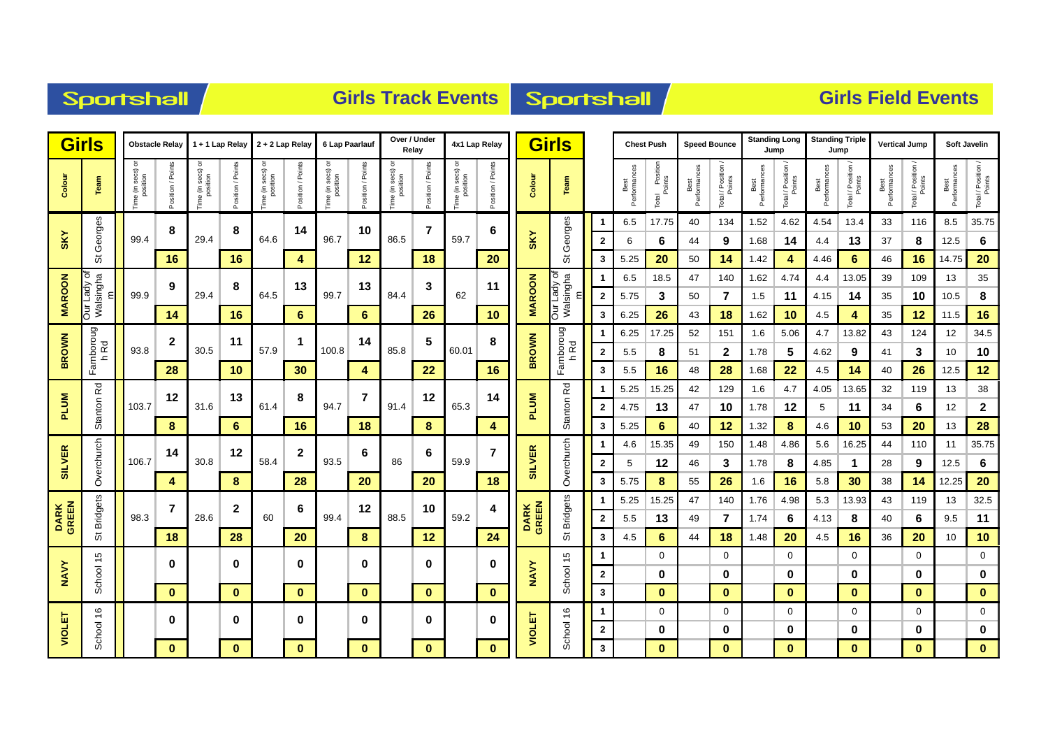| <b>Sportshall</b> |
|-------------------|
|-------------------|

### **Girls Track Events Sportshall**

| <b>Girls</b>         |                               |                           | <b>Obstacle Relay</b> |                               | 1 + 1 Lap Relay       |                                              | $2 + 2$ Lap Relay | 6 Lap Paarlauf                |                             | Over / Under<br>Relay                                                          |                  |                               | 4x1 Lap Relay     |                      | <b>Girls</b>             |                         |                      | <b>Chest Push</b>             |                      | <b>Speed Bounce</b>          | <b>Standing Long</b> | Jump                         | <b>Standing Triple</b> | Jump                 |                      | <b>Vertical Jump</b> |                      | Soft Javelin                 |
|----------------------|-------------------------------|---------------------------|-----------------------|-------------------------------|-----------------------|----------------------------------------------|-------------------|-------------------------------|-----------------------------|--------------------------------------------------------------------------------|------------------|-------------------------------|-------------------|----------------------|--------------------------|-------------------------|----------------------|-------------------------------|----------------------|------------------------------|----------------------|------------------------------|------------------------|----------------------|----------------------|----------------------|----------------------|------------------------------|
| Colour               | Team                          | ime (in secs)<br>position | osition / Points      | e (in secs)<br>position<br>ρe | osition / Points<br>Δ | secs) or<br>e (in secs<br>position<br>e<br>E | osition / Point   | Time (in secs) or<br>position | osition / Point<br>$\alpha$ | secs)<br>position<br>$\tilde{\varepsilon}$<br>$\pmb{\mathsf{\scriptstyle{0}}}$ | osition / Points | Fime (in secs) or<br>position | Position / Points | Colour               | Team                     |                         | Best<br>Performances | l Position<br>Points<br>Total | Best<br>Performances | Total / Position /<br>Points | Performances<br>Best | Total / Position /<br>Points | Performance<br>Best    | otal / Position      | Best<br>Performances | Total / Position /   | Best<br>Performances | Total / Position /<br>Points |
|                      | Georges                       |                           | 8                     |                               | 8                     |                                              | 14                |                               | 10                          |                                                                                | $\overline{7}$   |                               | 6                 |                      | $\pmb{\mathit{w}}$       |                         | 6.5                  | 17.75                         | 40                   | 134                          | 1.52                 | 4.62                         | 4.54                   | 13.4                 | 33                   | 116                  | 8.5                  | 35.75                        |
| <b>SKY</b>           |                               | 99.4                      |                       | 29.4                          |                       | 64.6                                         |                   | 96.7                          |                             | 86.5                                                                           |                  | 59.7                          |                   | <b>SKY</b>           | Georges                  | $\overline{\mathbf{2}}$ | 6                    | 6                             | 44                   | 9                            | 1.68                 | 14                           | 4.4                    | 13                   | 37                   | 8                    | 12.5                 | $\bf 6$                      |
|                      | ö                             |                           | 16                    |                               | 16                    |                                              | 4                 |                               | 12                          |                                                                                | 18               |                               | 20                |                      | ŏ                        | 3                       | 5.25                 | 20                            | 50                   | 14                           | 1.42                 | 4                            | 4.46                   | 6                    | 46                   | 16                   | 14.75                | 20                           |
|                      | ㅎ<br>Our Lady of<br>Walsingha |                           | 9                     |                               | 8                     |                                              | 13                |                               | 13                          |                                                                                | 3                |                               | 11                |                      | Our Lady of<br>Walsingha |                         | 6.5                  | 18.5                          | 47                   | 140                          | 1.62                 | 4.74                         | 4.4                    | 13.05                | 39                   | 109                  | 13                   | 35                           |
| <b>MAROON</b>        |                               | 99.9                      |                       | 29.4                          |                       | 64.5                                         |                   | 99.7                          |                             | 84.4                                                                           |                  | 62                            |                   | <b>MAROON</b>        |                          | $\overline{2}$          | 5.75                 | 3                             | 50                   | $\overline{7}$               | 1.5                  | 11                           | 4.15                   | 14                   | 35                   | 10                   | 10.5                 | $\bf 8$                      |
|                      |                               |                           | 14                    |                               | 16                    |                                              | 6                 |                               | 6                           |                                                                                | 26               |                               | 10                |                      |                          | 3                       | 6.25                 | 26                            | 43                   | 18                           | 1.62                 | 10                           | 4.5                    | 4                    | 35                   | 12                   | 11.5                 | 16                           |
|                      | Farnboroug<br>h Rd            |                           | $\mathbf{2}$          |                               | 11                    |                                              | 1                 |                               | 14                          |                                                                                | 5                |                               | 8                 |                      | Famboroug<br>h Rd        |                         | 6.25                 | 17.25                         | 52                   | 151                          | 1.6                  | 5.06                         | 4.7                    | 13.82                | 43                   | 124                  | 12                   | 34.5                         |
| <b>BROWN</b>         |                               | 93.8                      |                       | 30.5                          |                       | 57.9                                         |                   | 100.8                         |                             | 85.8                                                                           |                  | 60.01                         |                   | <b>BROWN</b>         |                          | $\mathbf{2}$            | 5.5                  | 8                             | 51                   | $\mathbf{2}$                 | 1.78                 | 5                            | 4.62                   | 9                    | 41                   | 3                    | 10                   | 10                           |
|                      |                               |                           | 28                    |                               | 10                    |                                              | 30                |                               | 4                           |                                                                                | 22               |                               | 16                |                      |                          | $\mathbf{3}$            | 5.5                  | 16                            | 48                   | 28                           | 1.68                 | 22                           | 4.5                    | 14                   | 40                   | 26                   | 12.5                 | 12                           |
|                      | Stanton Rd                    | 103.7                     | 12                    | 31.6                          | 13                    | 61.4                                         | 8                 | 94.7                          | $\overline{7}$              | 91.4                                                                           | 12               | 65.3                          | 14                | <b>PLUM</b>          | Stanton Rd               |                         | 5.25                 | 15.25                         | 42                   | 129                          | 1.6                  | 4.7                          | 4.05                   | 13.65                | 32                   | 119                  | 13                   | 38                           |
| <b>PLUM</b>          |                               |                           | 8                     |                               | 6                     |                                              |                   |                               | 18                          |                                                                                | 8                |                               |                   |                      |                          | $\mathbf{2}$            | 4.75                 | 13<br>6                       | 47                   | 10                           | 1.78                 | 12                           | 5                      | 11                   | 34                   | 6                    | 12<br>13             | $\mathbf{2}$<br>28           |
|                      |                               |                           |                       |                               |                       |                                              | 16                |                               |                             |                                                                                |                  |                               | 4                 |                      |                          | 3                       | 5.25<br>4.6          | 15.35                         | 40<br>49             | 12<br>150                    | 1.32<br>1.48         | 8<br>4.86                    | 4.6<br>5.6             | 10<br>16.25          | 53<br>44             | 20<br>110            | 11                   | 35.75                        |
| <b>SILVER</b>        |                               | 106.7                     | 14                    | 30.8                          | 12                    | 58.4                                         | 2                 | 93.5                          | 6                           | 86                                                                             | 6                | 59.9                          | 7                 | <b>SILVER</b>        |                          | $\mathbf{2}$            | 5                    | 12                            | 46                   | 3                            | 1.78                 | 8                            | 4.85                   | $\blacktriangleleft$ | 28                   | 9                    | 12.5                 | $\bf 6$                      |
|                      | Overchurch                    |                           | 4                     |                               | 8                     |                                              | 28                |                               | 20                          |                                                                                | 20               |                               | 18                |                      | Overchurch               | 3                       | 5.75                 | 8                             | 55                   | 26                           | 1.6                  | 16                           | 5.8                    | 30                   | 38                   | 14                   | 12.25                | 20                           |
|                      |                               |                           |                       |                               |                       |                                              |                   |                               |                             |                                                                                |                  |                               |                   |                      |                          |                         | 5.25                 | 15.25                         | 47                   | 140                          | 1.76                 | 4.98                         | 5.3                    | 13.93                | 43                   | 119                  | 13                   | 32.5                         |
| <b>DARK</b><br>GREEN | <b>Bridgets</b>               | 98.3                      | 7                     | 28.6                          | 2                     | 60                                           | 6                 | 99.4                          | 12                          | 88.5                                                                           | 10               | 59.2                          | 4                 | <b>DARK</b><br>GREEN | <b>Bridgets</b>          | $\overline{\mathbf{2}}$ | 5.5                  | 13                            | 49                   | 7                            | 1.74                 | 6                            | 4.13                   | 8                    | 40                   | 6                    | 9.5                  | 11                           |
|                      | ö                             |                           | 18                    |                               | 28                    |                                              | 20                |                               | 8                           |                                                                                | 12               |                               | 24                |                      | ö                        | 3                       | 4.5                  | 6                             | 44                   | 18                           | 1.48                 | 20                           | 4.5                    | 16                   | 36                   | 20                   | 10                   | 10                           |
|                      | 45                            |                           |                       |                               |                       |                                              |                   |                               |                             |                                                                                |                  |                               |                   |                      | 45                       |                         |                      | 0                             |                      | 0                            |                      | $\mathbf 0$                  |                        | 0                    |                      | $\mathbf 0$          |                      | $\mathbf 0$                  |
| <b>NAVY</b>          | School                        |                           | $\bf{0}$              |                               | 0                     |                                              | 0                 |                               | $\bf{0}$                    |                                                                                | 0                |                               | 0                 | NAVY                 | School                   | $\overline{2}$          |                      | 0                             |                      | 0                            |                      | $\bf{0}$                     |                        | 0                    |                      | $\bf{0}$             |                      | $\bf{0}$                     |
|                      |                               |                           | $\mathbf{0}$          |                               | $\mathbf{0}$          |                                              | $\mathbf{0}$      |                               | $\mathbf{0}$                |                                                                                | $\mathbf{0}$     |                               | $\mathbf{0}$      |                      |                          | 3                       |                      | $\bf{0}$                      |                      | $\bf{0}$                     |                      | $\mathbf{0}$                 |                        | $\bf{0}$             |                      | $\bf{0}$             |                      | $\bf{0}$                     |
|                      | 9                             |                           |                       |                               | 0                     |                                              |                   |                               |                             |                                                                                |                  |                               |                   |                      | $\frac{6}{5}$            |                         |                      | $\mathbf 0$                   |                      | $\mathbf 0$                  |                      | $\mathbf 0$                  |                        | 0                    |                      | $\mathbf 0$          |                      | $\mathbf 0$                  |
| <b>VIOLET</b>        | School                        |                           | $\bf{0}$              |                               |                       |                                              | 0                 |                               | 0                           |                                                                                | 0                |                               | 0                 | VIOLET               | School                   | $\mathbf{2}$            |                      | 0                             |                      | 0                            |                      | 0                            |                        | 0                    |                      | 0                    |                      | $\mathbf 0$                  |
|                      |                               |                           | $\mathbf{0}$          |                               | $\mathbf{0}$          |                                              | $\mathbf{0}$      |                               | $\mathbf{0}$                |                                                                                | $\mathbf{0}$     |                               | $\mathbf{0}$      |                      |                          | $\mathbf{3}$            |                      | $\mathbf{0}$                  |                      | $\mathbf{0}$                 |                      | $\mathbf{0}$                 |                        | $\bf{0}$             |                      | $\bf{0}$             |                      | $\mathbf{0}$                 |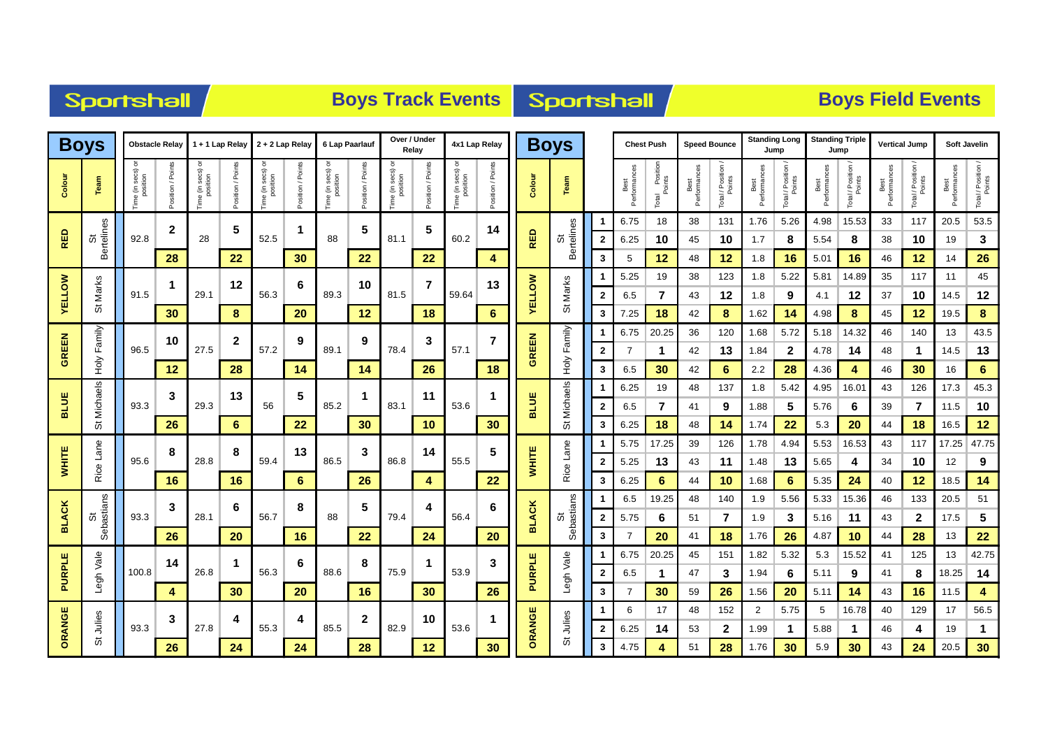| Sportshall |  |  |
|------------|--|--|
|            |  |  |

# **Boys Track Events Boys Track Events**

|               | <b>Boys</b>      |                               | <b>Obstacle Relay</b> |                         | 1 + 1 Lap Relay    |                  | $2 + 2$ Lap Relay | 6 Lap Paarlauf                  |              | Over / Under                   | Relay           |                            | 4x1 Lap Relay     |               | <b>Boys</b>            |              |                   | <b>Chest Push</b>          |                      | <b>Speed Bounce</b>        | <b>Standing Long</b><br>Jump |                  | <b>Standing Triple</b> | Jump        | <b>Vertical Jump</b> |                  |                      | Soft Javelin                 |
|---------------|------------------|-------------------------------|-----------------------|-------------------------|--------------------|------------------|-------------------|---------------------------------|--------------|--------------------------------|-----------------|----------------------------|-------------------|---------------|------------------------|--------------|-------------------|----------------------------|----------------------|----------------------------|------------------------------|------------------|------------------------|-------------|----------------------|------------------|----------------------|------------------------------|
| Colour        | Team             | secs)<br>position<br>me (in : | sition / Point        | e (in secs)<br>position | /Points<br>osition | secs)<br>έ<br>em | / Poin<br>sition  | e (in secs) or<br>position<br>ወ | / Poin       | e (in secs) o<br>position<br>e | osition / Point | ne (in secs) o<br>position | Position / Points | Colour        | Team                   |              | Best<br>Performan | Position<br>Points<br>otal | Performances<br>Best | Total / Position<br>Points | Best<br>Performances         | Total / Position | Performar<br>Best      | Total / Pos | Performance<br>Best  | Total / Position | Performances<br>Best | Total / Position /<br>Points |
|               |                  |                               | $\mathbf{2}$          |                         | 5                  |                  | 1                 |                                 | 5            |                                | 5               |                            | 14                |               |                        |              | 6.75              | 18                         | 38                   | 131                        | 1.76                         | 5.26             | 4.98                   | 15.53       | 33                   | 117              | 20.5                 | 53.5                         |
| RED           | St<br>Bertelines | 92.8                          |                       | 28                      |                    | 52.5             |                   | 88                              |              | 81.1                           |                 | 60.2                       |                   | <b>RED</b>    | <b>Bertelines</b><br>ö | $\mathbf{2}$ | 6.25              | 10                         | 45                   | 10                         | 1.7                          | 8                | 5.54                   | 8           | 38                   | 10               | 19                   | $\mathbf{3}$                 |
|               |                  |                               | 28                    |                         | 22                 |                  | 30                |                                 | 22           |                                | 22              |                            | 4                 |               |                        | 3            | 5                 | 12                         | 48                   | 12                         | 1.8                          | 16               | 5.01                   | 16          | 46                   | 12               | 14                   | 26                           |
|               |                  |                               | 1                     |                         | 12                 |                  | 6                 |                                 | 10           |                                | $\overline{7}$  |                            | 13                |               |                        |              | 5.25              | 19                         | 38                   | 123                        | 1.8                          | 5.22             | 5.81                   | 14.89       | 35                   | 117              | 11                   | 45                           |
| <b>YELLOW</b> | St Marks         | 91.5                          |                       | 29.1                    |                    | 56.3             |                   | 89.3                            |              | 81.5                           |                 | 59.64                      |                   | <b>VELLOW</b> | St Marks               | $\mathbf{2}$ | 6.5               | $\overline{7}$             | 43                   | 12                         | 1.8                          | 9                | 4.1                    | 12          | 37                   | 10               | 14.5                 | 12                           |
|               |                  |                               | 30                    |                         | 8                  |                  | 20                |                                 | 12           |                                | 18              |                            | $6\phantom{a}$    |               |                        | 3            | 7.25              | 18                         | 42                   | 8                          | 1.62                         | 14               | 4.98                   | 8           | 45                   | 12               | 19.5                 | 8                            |
|               | Family           |                               | 10                    |                         | $\mathbf{2}$       |                  | 9                 |                                 | 9            |                                | 3               |                            | $\overline{7}$    |               | Family                 |              | 6.75              | 20.25                      | 36                   | 120                        | 1.68                         | 5.72             | 5.18                   | 14.32       | 46                   | 140              | 13                   | 43.5                         |
| GREEN         |                  | 96.5                          |                       | 27.5                    |                    | 57.2             |                   | 89.1                            |              | 78.4                           |                 | 57.1                       |                   | GREEN         | ₹Ф                     | $\mathbf{2}$ |                   | $\mathbf 1$                | 42                   | 13                         | 1.84                         | $\mathbf{2}$     | 4.78                   | 14          | 48                   | -1               | 14.5                 | 13                           |
|               | ÝоН              |                               | 12                    |                         | 28                 |                  | 14                |                                 | 14           |                                | 26              |                            | 18                |               |                        | 3            | 6.5               | 30                         | 42                   | 6                          | 2.2                          | 28               | 4.36                   | 4           | 46                   | 30               | 16                   | 6                            |
|               | Michaels         |                               | 3                     |                         | 13                 |                  | 5                 |                                 | 1            |                                | 11              |                            |                   |               | Michaels               |              | 6.25              | 19                         | 48                   | 137                        | 1.8                          | 5.42             | 4.95                   | 16.01       | 43                   | 126              | 17.3                 | 45.3                         |
| <b>BLUE</b>   |                  | 93.3                          |                       | 29.3                    |                    | 56               |                   | 85.2                            |              | 83.1                           |                 | 53.6                       |                   | <b>BLUE</b>   |                        | $\mathbf{2}$ | 6.5               | $\overline{7}$             | 41                   | 9                          | 1.88                         | 5                | 5.76                   | 6           | 39                   | $\overline{7}$   | 11.5                 | 10                           |
|               | ö                |                               | 26                    |                         | 6                  |                  | 22                |                                 | 30           |                                | 10              |                            | 30                |               | ö                      | 3            | 6.25              | 18                         | 48                   | 14                         | 1.74                         | 22               | 5.3                    | 20          | 44                   | 18               | 16.5                 | 12 <sub>2</sub>              |
|               |                  |                               | 8                     |                         | 8                  |                  | 13                |                                 | 3            |                                | 14              |                            | 5                 |               |                        | 1            | 5.75              | 17.25                      | 39                   | 126                        | 1.78                         | 4.94             | 5.53                   | 16.53       | 43                   | 117              | 17.25                | 47.75                        |
| <b>WHITE</b>  | Rice Lane        | 95.6                          |                       | 28.8                    |                    | 59.4             |                   | 86.5                            |              | 86.8                           |                 | 55.5                       |                   | <b>WHITE</b>  | Rice Lane              | $\mathbf{2}$ | 5.25              | 13                         | 43                   | 11                         | 1.48                         | 13               | 5.65                   | 4           | 34                   | 10               | 12                   | 9                            |
|               |                  |                               | 16                    |                         | 16                 |                  | 6                 |                                 | 26           |                                | 4               |                            | 22                |               |                        | 3            | 6.25              | 6                          | 44                   | 10                         | 1.68                         | 6                | 5.35                   | 24          | 40                   | 12               | 18.5                 | 14                           |
|               |                  |                               | 3                     |                         | 6                  |                  | 8                 |                                 | 5            |                                | 4               | 56.4                       | 6                 |               |                        |              | 6.5               | 19.25                      | 48                   | 140                        | 1.9                          | 5.56             | 5.33                   | 15.36       | 46                   | 133              | 20.5                 | 51                           |
| <b>BLACK</b>  | Sebastians<br>55 | 93.3                          |                       | 28.1                    |                    | 56.7             |                   | 88                              |              | 79.4                           |                 |                            |                   | <b>BLACK</b>  | Sebastians<br>の        | $\mathbf{2}$ | 5.75              | 6                          | 51                   | $\overline{7}$             | 1.9                          | 3                | 5.16                   | 11          | 43                   | $\mathbf{2}$     | 17.5                 | 5                            |
|               |                  |                               | 26                    |                         | 20                 |                  | 16                |                                 | 22           |                                | 24              |                            | 20                |               |                        | 3            | 6.75              | 20<br>20.25                | 41<br>45             | 18<br>151                  | 1.76<br>1.82                 | 26<br>5.32       | 4.87<br>5.3            | 10<br>15.52 | 44<br>41             | 28<br>125        | 13<br>13             | 22<br>42.75                  |
| PURPLE        |                  | 100.8                         | 14                    | 26.8                    |                    | 56.3             | 6                 | 88.6                            | 8            | 75.9                           |                 | 53.9                       | 3                 | <b>PURPLE</b> |                        | $\mathbf{2}$ | 6.5               |                            | 47                   | 3                          | 1.94                         |                  | 5.11                   | 9           | 41                   | 8                | 18.25                | 14                           |
|               | Legh Vale        |                               | 4                     |                         | 30                 |                  | 20                |                                 | 16           |                                | 30 <sub>o</sub> |                            | 26                |               | Legh Vale              | 3            |                   | 1<br>30                    | 59                   | 26                         | 1.56                         | 6<br>20          | 5.11                   | 14          | 43                   | 16               | 11.5                 |                              |
|               |                  |                               |                       |                         |                    |                  |                   |                                 |              |                                |                 |                            |                   |               |                        |              | 6                 | 17                         | 48                   | 152                        | $\overline{2}$               | 5.75             | 5                      | 16.78       | 40                   | 129              | 17                   | 56.5                         |
| ORANGE        | Julies           | 93.3                          | 3                     | 27.8                    | Δ                  | 55.3             | 4                 | 85.5                            | $\mathbf{2}$ | 82.9                           | 10              | 53.6                       |                   | ORANGE        | Julies                 | $\mathbf{2}$ | 6.25              | 14                         | 53                   | $\mathbf{2}$               | 1.99                         | $\mathbf 1$      | 5.88                   | 1           | 46                   | 4                | 19                   | 1                            |
|               | ö                |                               | 26                    |                         | 24                 |                  | 24                |                                 | 28           |                                | 12 <sub>2</sub> |                            | 30                |               | の                      | 3            | 4.75              | 4                          | 51                   | 28                         | 1.76                         | 30               | 5.9                    | 30          | 43                   | 24               | 20.5                 | 30                           |
|               |                  |                               |                       |                         |                    |                  |                   |                                 |              |                                |                 |                            |                   |               |                        |              |                   |                            |                      |                            |                              |                  |                        |             |                      |                  |                      |                              |